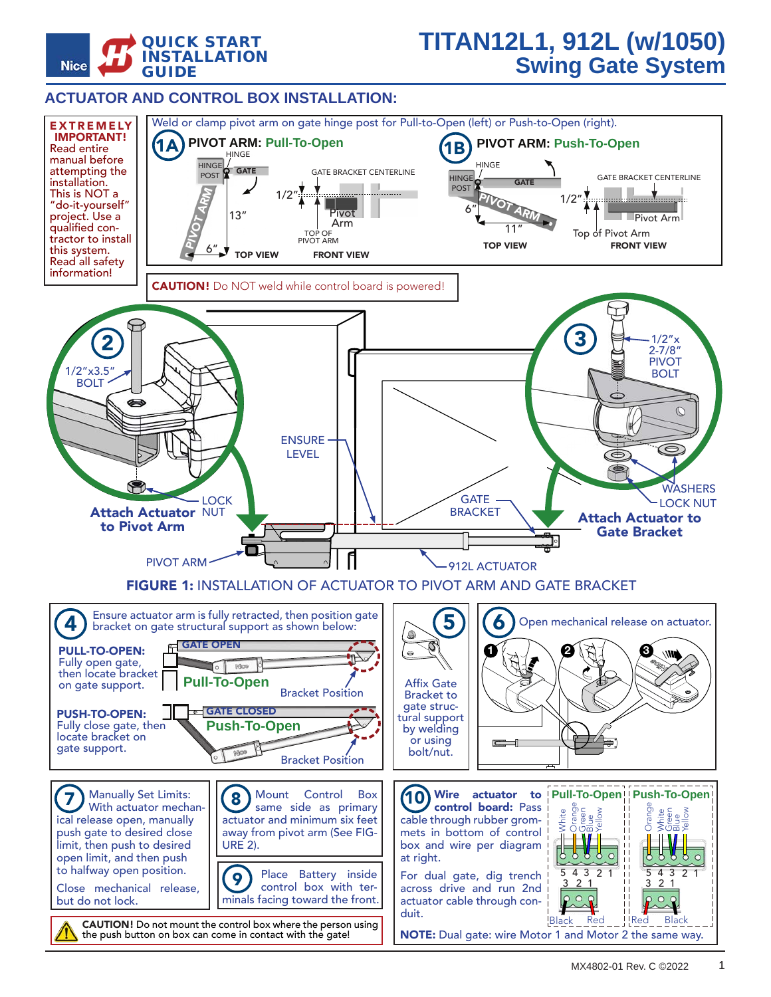

## **TITAN12L1, 912L (w/1050) Swing Gate System**

## **ACTUATOR AND CONTROL BOX INSTALLATION:**